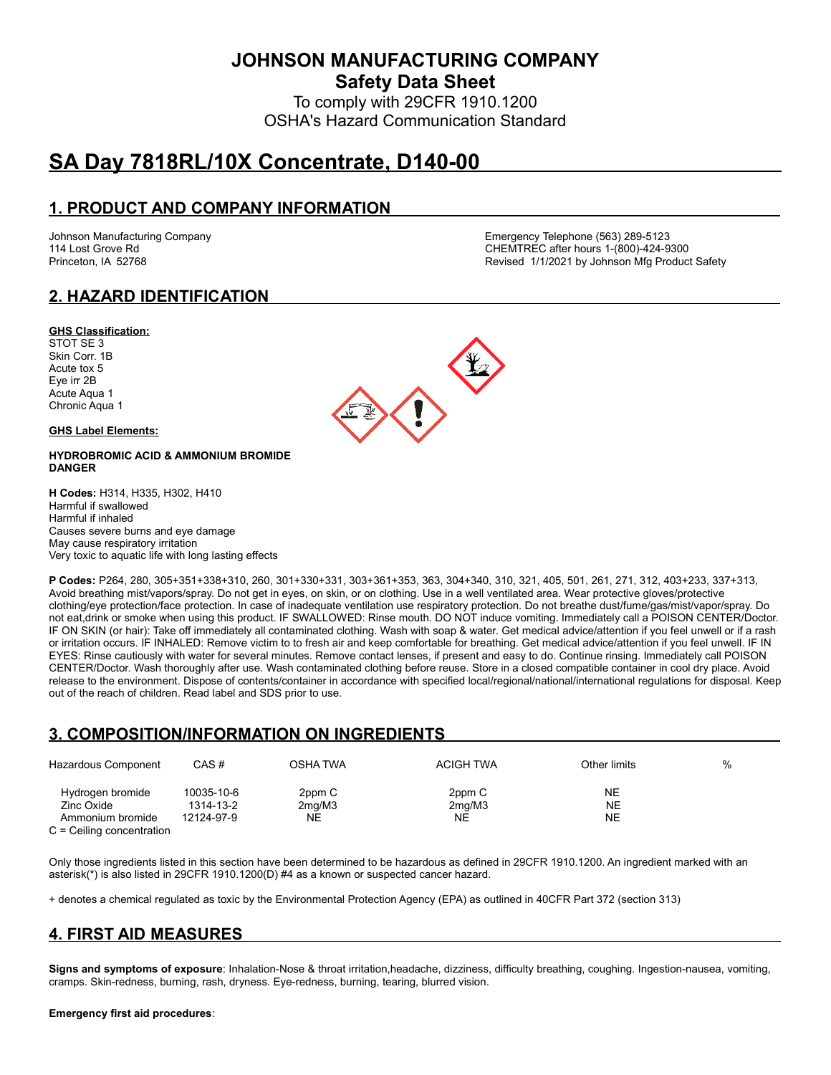**JOHNSON MANUFACTURING COMPANY**

**Safety Data Sheet**

To comply with 29CFR 1910.1200 OSHA's Hazard Communication Standard

# **SA Day 7818RL/10X Concentrate, D140-00**

### **1. PRODUCT AND COMPANY INFORMATION**

Johnson Manufacturing Company Emergency Telephone (563) 289-5123 CHEMTREC after hours 1-(800)-424-9300 Princeton, IA 52768 **Revised 1/1/2021 by Johnson Mfg Product Safety** Revised 1/1/2021 by Johnson Mfg Product Safety

### **2. HAZARD IDENTIFICATION**

#### **GHS Classification:**

STOT SE 3 Skin Corr. 1B Acute tox 5 Eye irr 2B Acute Aqua 1 Chronic Aqua 1

#### **GHS Label Elements:**

#### **HYDROBROMIC ACID & AMMONIUM BROMIDE DANGER**

**H Codes:** H314, H335, H302, H410 Harmful if swallowed Harmful if inhaled Causes severe burns and eye damage May cause respiratory irritation Very toxic to aquatic life with long lasting effects



# **3. COMPOSITION/INFORMATION ON INGREDIENTS**

| Hazardous Component                                                               | CAS#                                  | OSHA TWA               | <b>ACIGH TWA</b>       | Other limits          | $\%$ |
|-----------------------------------------------------------------------------------|---------------------------------------|------------------------|------------------------|-----------------------|------|
| Hydrogen bromide<br>Zinc Oxide<br>Ammonium bromide<br>$C =$ Ceiling concentration | 10035-10-6<br>1314-13-2<br>12124-97-9 | 2ppm C<br>2mq/M3<br>NE | 2ppm C<br>2mq/M3<br>NE | NE<br>NE<br><b>NE</b> |      |

Only those ingredients listed in this section have been determined to be hazardous as defined in 29CFR 1910.1200. An ingredient marked with an asterisk(\*) is also listed in 29CFR 1910.1200(D) #4 as a known or suspected cancer hazard.

+ denotes a chemical regulated as toxic by the Environmental Protection Agency (EPA) as outlined in 40CFR Part 372 (section 313)

# **4. FIRST AID MEASURES**

**Signs and symptoms of exposure**: Inhalation-Nose & throat irritation,headache, dizziness, difficulty breathing, coughing. Ingestion-nausea, vomiting, cramps. Skin-redness, burning, rash, dryness. Eye-redness, burning, tearing, blurred vision.

#### **Emergency first aid procedures**:

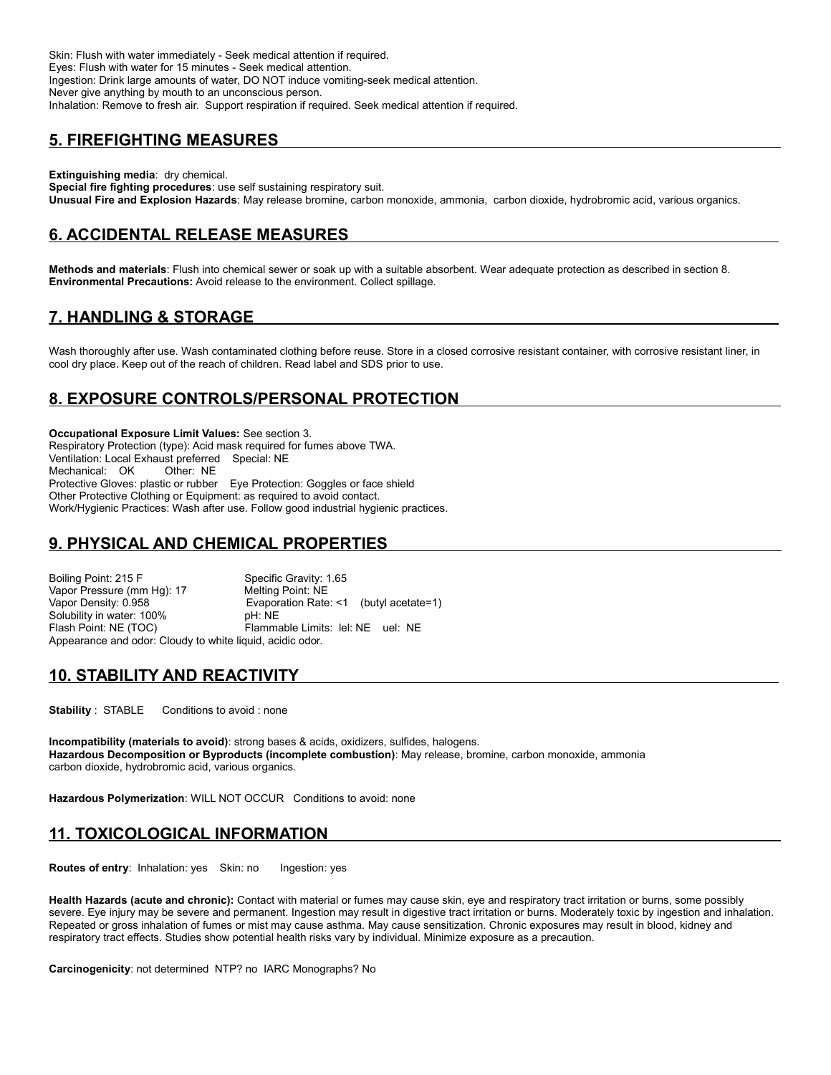Skin: Flush with water immediately - Seek medical attention if required. Eyes: Flush with water for 15 minutes - Seek medical attention. Ingestion: Drink large amounts of water, DO NOT induce vomiting-seek medical attention. Never give anything by mouth to an unconscious person. Inhalation: Remove to fresh air. Support respiration if required. Seek medical attention if required.

#### **5. FIREFIGHTING MEASURES**

**Extinguishing media**: dry chemical. **Special fire fighting procedures**: use self sustaining respiratory suit. **Unusual Fire and Explosion Hazards**: May release bromine, carbon monoxide, ammonia, carbon dioxide, hydrobromic acid, various organics.

#### **6. ACCIDENTAL RELEASE MEASURES**

**Methods and materials**: Flush into chemical sewer or soak up with a suitable absorbent. Wear adequate protection as described in section 8. **Environmental Precautions:** Avoid release to the environment. Collect spillage.

### **7. HANDLING & STORAGE**

Wash thoroughly after use. Wash contaminated clothing before reuse. Store in a closed corrosive resistant container, with corrosive resistant liner, in cool dry place. Keep out of the reach of children. Read label and SDS prior to use.

# **8. EXPOSURE CONTROLS/PERSONAL PROTECTION**

**Occupational Exposure Limit Values:** See section 3. Respiratory Protection (type): Acid mask required for fumes above TWA. Ventilation: Local Exhaust preferred Special: NE Mechanical: OK Other: NE Protective Gloves: plastic or rubber Eye Protection: Goggles or face shield Other Protective Clothing or Equipment: as required to avoid contact. Work/Hygienic Practices: Wash after use. Follow good industrial hygienic practices.

#### **9. PHYSICAL AND CHEMICAL PROPERTIES**

Boiling Point: 215 F Specific Gravity: 1.65 Vapor Pressure (mm Hg): 17 Melting Point: NE<br>Vapor Density: 0.958 Vaporation Rate Evaporation Rate: <1 (butyl acetate=1)<br>pH: NE Solubility in water: 100% Flash Point: NE (TOC) Flammable Limits: lel: NE uel: NE Appearance and odor: Cloudy to white liquid, acidic odor.

#### **10. STABILITY AND REACTIVITY**

**Stability** : STABLE Conditions to avoid : none

**Incompatibility (materials to avoid)**: strong bases & acids, oxidizers, sulfides, halogens. **Hazardous Decomposition or Byproducts (incomplete combustion)**: May release, bromine, carbon monoxide, ammonia carbon dioxide, hydrobromic acid, various organics.

**Hazardous Polymerization**: WILL NOT OCCUR Conditions to avoid: none

#### **11. TOXICOLOGICAL INFORMATION**

**Routes of entry:** Inhalation: yes Skin: no Ingestion: yes

**Health Hazards (acute and chronic):** Contact with material or fumes may cause skin, eye and respiratory tract irritation or burns, some possibly severe. Eye injury may be severe and permanent. Ingestion may result in digestive tract irritation or burns. Moderately toxic by ingestion and inhalation. Repeated or gross inhalation of fumes or mist may cause asthma. May cause sensitization. Chronic exposures may result in blood, kidney and respiratory tract effects. Studies show potential health risks vary by individual. Minimize exposure as a precaution.

**Carcinogenicity**: not determined NTP? no IARC Monographs? No